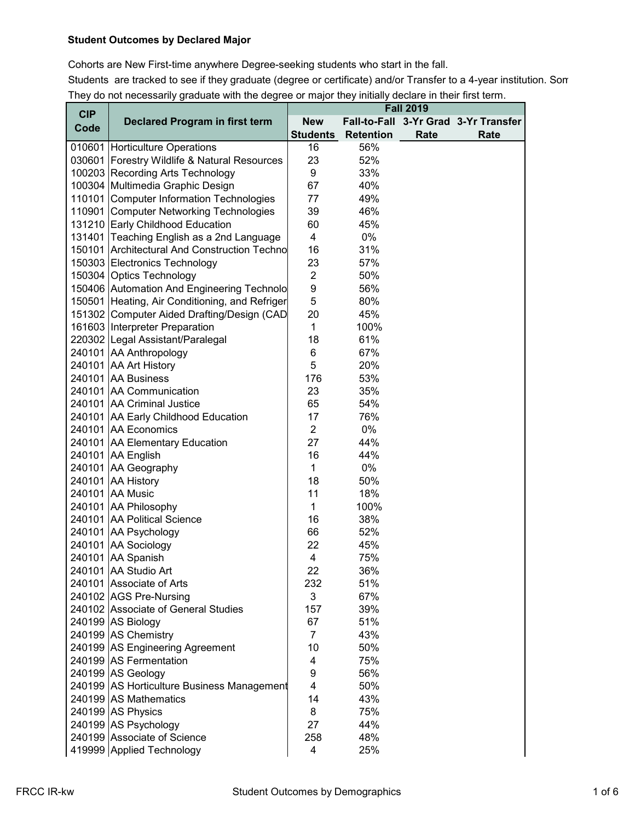## **Student Outcomes by Declared Major**

Cohorts are New First-time anywhere Degree-seeking students who start in the fall. Students are tracked to see if they graduate (degree or certificate) and/or Transfer to a 4-year institution. Som They do not necessarily graduate with the degree or major they initially declare in their first term.

| <b>CIP</b> |                                                |                 |                  | <b>Fall 2019</b> |                                      |
|------------|------------------------------------------------|-----------------|------------------|------------------|--------------------------------------|
| Code       | <b>Declared Program in first term</b>          | <b>New</b>      |                  |                  | Fall-to-Fall 3-Yr Grad 3-Yr Transfer |
|            |                                                | <b>Students</b> | <b>Retention</b> | Rate             | Rate                                 |
|            | 010601 Horticulture Operations                 | 16              | 56%              |                  |                                      |
|            | 030601 Forestry Wildlife & Natural Resources   | 23              | 52%              |                  |                                      |
|            | 100203 Recording Arts Technology               | 9               | 33%              |                  |                                      |
|            | 100304 Multimedia Graphic Design               | 67              | 40%              |                  |                                      |
|            | 110101 Computer Information Technologies       | 77              | 49%              |                  |                                      |
|            | 110901 Computer Networking Technologies        | 39              | 46%              |                  |                                      |
|            | 131210 Early Childhood Education               | 60              | 45%              |                  |                                      |
|            | 131401 Teaching English as a 2nd Language      | $\overline{4}$  | 0%               |                  |                                      |
|            | 150101 Architectural And Construction Techno   | 16              | 31%              |                  |                                      |
|            | 150303 Electronics Technology                  | 23              | 57%              |                  |                                      |
|            | 150304 Optics Technology                       | $\overline{2}$  | 50%              |                  |                                      |
|            | 150406 Automation And Engineering Technolo     | 9               | 56%              |                  |                                      |
|            | 150501 Heating, Air Conditioning, and Refriger | 5               | 80%              |                  |                                      |
|            | 151302 Computer Aided Drafting/Design (CAD     | 20              | 45%              |                  |                                      |
|            | 161603 Interpreter Preparation                 | $\mathbf{1}$    | 100%             |                  |                                      |
|            | 220302 Legal Assistant/Paralegal               | 18              | 61%              |                  |                                      |
|            | 240101 AA Anthropology                         | 6               | 67%              |                  |                                      |
|            | 240101 AA Art History                          | 5               | 20%              |                  |                                      |
|            | 240101 AA Business                             | 176             | 53%              |                  |                                      |
|            | 240101 AA Communication                        | 23              | 35%              |                  |                                      |
|            | 240101 AA Criminal Justice                     | 65              | 54%              |                  |                                      |
|            | 240101 AA Early Childhood Education            | 17              | 76%              |                  |                                      |
|            | 240101 AA Economics                            | $\overline{2}$  | 0%               |                  |                                      |
|            | 240101 AA Elementary Education                 | 27              | 44%              |                  |                                      |
|            | 240101 AA English                              | 16              | 44%              |                  |                                      |
|            | 240101 AA Geography                            | $\mathbf{1}$    | 0%               |                  |                                      |
|            | 240101 AA History                              | 18              | 50%              |                  |                                      |
|            | 240101 AA Music                                | 11              | 18%              |                  |                                      |
|            | 240101 AA Philosophy                           | $\mathbf{1}$    | 100%             |                  |                                      |
|            | 240101 AA Political Science                    | 16              | 38%              |                  |                                      |
|            | 240101 AA Psychology                           | 66              | 52%              |                  |                                      |
|            | 240101 AA Sociology                            | 22              | 45%              |                  |                                      |
|            | 240101 AA Spanish                              | 4               | 75%              |                  |                                      |
|            | 240101 AA Studio Art                           | 22              | 36%              |                  |                                      |
|            | 240101 Associate of Arts                       | 232             | 51%              |                  |                                      |
|            | 240102 AGS Pre-Nursing                         | 3               | 67%              |                  |                                      |
|            | 240102 Associate of General Studies            | 157             | 39%              |                  |                                      |
|            | 240199 AS Biology                              | 67              | 51%              |                  |                                      |
|            | 240199 AS Chemistry                            | $\overline{7}$  | 43%              |                  |                                      |
|            | 240199 AS Engineering Agreement                | 10              | 50%              |                  |                                      |
|            | 240199 AS Fermentation                         | 4               | 75%              |                  |                                      |
|            | 240199 AS Geology                              | 9               | 56%              |                  |                                      |
|            | 240199 AS Horticulture Business Management     | 4               | 50%              |                  |                                      |
|            | 240199 AS Mathematics                          | 14              | 43%              |                  |                                      |
|            | 240199 AS Physics                              | 8               | 75%              |                  |                                      |
|            | 240199 AS Psychology                           | 27              | 44%              |                  |                                      |
|            | 240199 Associate of Science                    | 258             | 48%              |                  |                                      |
|            | 419999 Applied Technology                      | 4               | 25%              |                  |                                      |
|            |                                                |                 |                  |                  |                                      |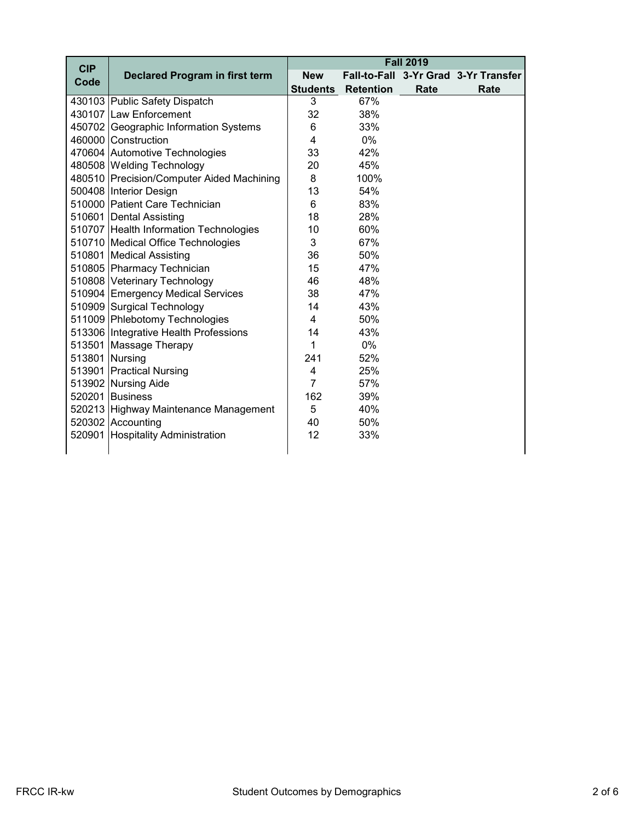| <b>CIP</b>     |                                           |                 |                  | <b>Fall 2019</b> |                                      |
|----------------|-------------------------------------------|-----------------|------------------|------------------|--------------------------------------|
| Code           | <b>Declared Program in first term</b>     | <b>New</b>      |                  |                  | Fall-to-Fall 3-Yr Grad 3-Yr Transfer |
|                |                                           | <b>Students</b> | <b>Retention</b> | Rate             | Rate                                 |
|                | 430103 Public Safety Dispatch             | 3               | 67%              |                  |                                      |
|                | 430107 Law Enforcement                    | 32              | 38%              |                  |                                      |
|                | 450702 Geographic Information Systems     | 6               | 33%              |                  |                                      |
|                | 460000 Construction                       | $\overline{4}$  | 0%               |                  |                                      |
|                | 470604 Automotive Technologies            | 33              | 42%              |                  |                                      |
|                | 480508 Welding Technology                 | 20              | 45%              |                  |                                      |
|                | 480510 Precision/Computer Aided Machining | 8               | 100%             |                  |                                      |
|                | 500408 Interior Design                    | 13              | 54%              |                  |                                      |
|                | 510000 Patient Care Technician            | 6               | 83%              |                  |                                      |
|                | 510601 Dental Assisting                   | 18              | 28%              |                  |                                      |
|                | 510707 Health Information Technologies    | 10              | 60%              |                  |                                      |
|                | 510710 Medical Office Technologies        | 3               | 67%              |                  |                                      |
|                | 510801 Medical Assisting                  | 36              | 50%              |                  |                                      |
|                | 510805 Pharmacy Technician                | 15              | 47%              |                  |                                      |
|                | 510808 Veterinary Technology              | 46              | 48%              |                  |                                      |
|                | 510904 Emergency Medical Services         | 38              | 47%              |                  |                                      |
|                | 510909 Surgical Technology                | 14              | 43%              |                  |                                      |
|                | 511009 Phlebotomy Technologies            | $\overline{4}$  | 50%              |                  |                                      |
|                | 513306 Integrative Health Professions     | 14              | 43%              |                  |                                      |
|                | 513501 Massage Therapy                    | 1               | 0%               |                  |                                      |
| 513801 Nursing |                                           | 241             | 52%              |                  |                                      |
|                | 513901 Practical Nursing                  | 4               | 25%              |                  |                                      |
|                | 513902 Nursing Aide                       | $\overline{7}$  | 57%              |                  |                                      |
|                | 520201 Business                           | 162             | 39%              |                  |                                      |
|                | 520213 Highway Maintenance Management     | 5               | 40%              |                  |                                      |
|                | 520302 Accounting                         | 40              | 50%              |                  |                                      |
|                | 520901 Hospitality Administration         | 12              | 33%              |                  |                                      |
|                |                                           |                 |                  |                  |                                      |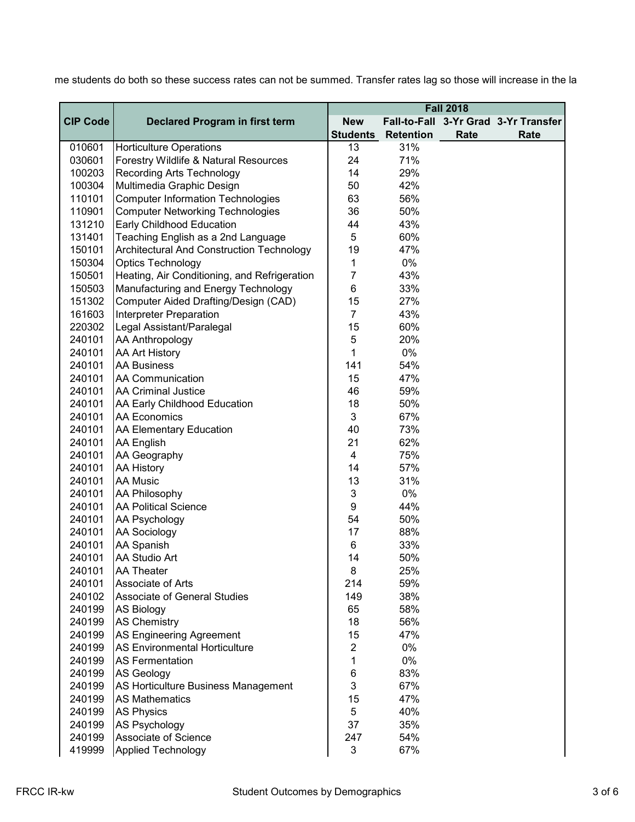|                 |                                                  |                 |                  | <b>Fall 2018</b> |                                      |
|-----------------|--------------------------------------------------|-----------------|------------------|------------------|--------------------------------------|
| <b>CIP Code</b> | <b>Declared Program in first term</b>            | <b>New</b>      |                  |                  | Fall-to-Fall 3-Yr Grad 3-Yr Transfer |
|                 |                                                  | <b>Students</b> | <b>Retention</b> | Rate             | Rate                                 |
| 010601          | <b>Horticulture Operations</b>                   | 13              | 31%              |                  |                                      |
| 030601          | Forestry Wildlife & Natural Resources            | 24              | 71%              |                  |                                      |
| 100203          | <b>Recording Arts Technology</b>                 | 14              | 29%              |                  |                                      |
| 100304          | Multimedia Graphic Design                        | 50              | 42%              |                  |                                      |
| 110101          | <b>Computer Information Technologies</b>         | 63              | 56%              |                  |                                      |
| 110901          | <b>Computer Networking Technologies</b>          | 36              | 50%              |                  |                                      |
| 131210          | Early Childhood Education                        | 44              | 43%              |                  |                                      |
| 131401          | Teaching English as a 2nd Language               | 5               | 60%              |                  |                                      |
| 150101          | <b>Architectural And Construction Technology</b> | 19              | 47%              |                  |                                      |
| 150304          | Optics Technology                                | 1               | 0%               |                  |                                      |
| 150501          | Heating, Air Conditioning, and Refrigeration     | $\overline{7}$  | 43%              |                  |                                      |
| 150503          | Manufacturing and Energy Technology              | 6               | 33%              |                  |                                      |
| 151302          | Computer Aided Drafting/Design (CAD)             | 15              | 27%              |                  |                                      |
| 161603          | Interpreter Preparation                          | $\overline{7}$  | 43%              |                  |                                      |
| 220302          | Legal Assistant/Paralegal                        | 15              | 60%              |                  |                                      |
| 240101          | <b>AA Anthropology</b>                           | 5               | 20%              |                  |                                      |
| 240101          | <b>AA Art History</b>                            | 1               | 0%               |                  |                                      |
| 240101          | <b>AA Business</b>                               | 141             | 54%              |                  |                                      |
| 240101          | <b>AA Communication</b>                          | 15              | 47%              |                  |                                      |
| 240101          | <b>AA Criminal Justice</b>                       | 46              | 59%              |                  |                                      |
| 240101          | AA Early Childhood Education                     | 18              | 50%              |                  |                                      |
| 240101          | <b>AA Economics</b>                              | 3               | 67%              |                  |                                      |
| 240101          | AA Elementary Education                          | 40              | 73%              |                  |                                      |
| 240101          | <b>AA English</b>                                | 21              | 62%              |                  |                                      |
| 240101          | AA Geography                                     | $\overline{4}$  | 75%              |                  |                                      |
| 240101          | <b>AA History</b>                                | 14              | 57%              |                  |                                      |
| 240101          | <b>AA Music</b>                                  | 13              | 31%              |                  |                                      |
| 240101          | <b>AA Philosophy</b>                             | 3               | 0%               |                  |                                      |
| 240101          | AA Political Science                             | 9               | 44%              |                  |                                      |
| 240101          | <b>AA Psychology</b>                             | 54              | 50%              |                  |                                      |
| 240101          | <b>AA Sociology</b>                              | 17              | 88%              |                  |                                      |
| 240101          | <b>AA Spanish</b>                                | 6               | 33%              |                  |                                      |
| 240101          | AA Studio Art                                    | 14              | 50%              |                  |                                      |
| 240101          | <b>AA Theater</b>                                | 8               | 25%              |                  |                                      |
| 240101          | Associate of Arts                                | 214             | 59%              |                  |                                      |
| 240102          | Associate of General Studies                     | 149             | 38%              |                  |                                      |
| 240199          | <b>AS Biology</b>                                | 65              | 58%              |                  |                                      |
| 240199          | <b>AS Chemistry</b>                              | 18              | 56%              |                  |                                      |
| 240199          | AS Engineering Agreement                         | 15              | 47%              |                  |                                      |
| 240199          | <b>AS Environmental Horticulture</b>             | $\overline{2}$  | 0%               |                  |                                      |
| 240199          | <b>AS Fermentation</b>                           | $\mathbf{1}$    | 0%               |                  |                                      |
| 240199          | AS Geology                                       | 6               | 83%              |                  |                                      |
| 240199          | AS Horticulture Business Management              | 3               | 67%              |                  |                                      |
| 240199          | <b>AS Mathematics</b>                            | 15              | 47%              |                  |                                      |
| 240199          | <b>AS Physics</b>                                | 5               | 40%              |                  |                                      |
| 240199          | <b>AS Psychology</b>                             | 37              | 35%              |                  |                                      |
| 240199          | Associate of Science                             | 247             | 54%              |                  |                                      |
| 419999          | <b>Applied Technology</b>                        | 3               | 67%              |                  |                                      |

me students do both so these success rates can not be summed. Transfer rates lag so those will increase in the la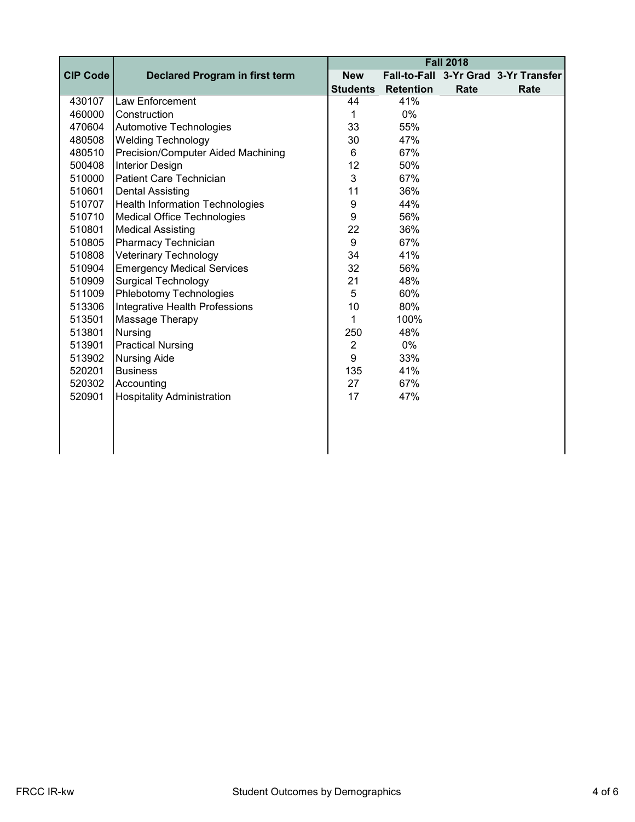|                 |                                        | <b>Fall 2018</b> |                  |      |                                      |  |
|-----------------|----------------------------------------|------------------|------------------|------|--------------------------------------|--|
| <b>CIP Code</b> | <b>Declared Program in first term</b>  | <b>New</b>       |                  |      | Fall-to-Fall 3-Yr Grad 3-Yr Transfer |  |
|                 |                                        | <b>Students</b>  | <b>Retention</b> | Rate | Rate                                 |  |
| 430107          | <b>Law Enforcement</b>                 | 44               | 41%              |      |                                      |  |
| 460000          | Construction                           | 1                | 0%               |      |                                      |  |
| 470604          | Automotive Technologies                | 33               | 55%              |      |                                      |  |
| 480508          | <b>Welding Technology</b>              | 30               | 47%              |      |                                      |  |
| 480510          | Precision/Computer Aided Machining     | 6                | 67%              |      |                                      |  |
| 500408          | <b>Interior Design</b>                 | 12               | 50%              |      |                                      |  |
| 510000          | Patient Care Technician                | 3                | 67%              |      |                                      |  |
| 510601          | <b>Dental Assisting</b>                | 11               | 36%              |      |                                      |  |
| 510707          | <b>Health Information Technologies</b> | 9                | 44%              |      |                                      |  |
| 510710          | Medical Office Technologies            | 9                | 56%              |      |                                      |  |
| 510801          | <b>Medical Assisting</b>               | 22               | 36%              |      |                                      |  |
| 510805          | Pharmacy Technician                    | 9                | 67%              |      |                                      |  |
| 510808          | Veterinary Technology                  | 34               | 41%              |      |                                      |  |
| 510904          | <b>Emergency Medical Services</b>      | 32               | 56%              |      |                                      |  |
| 510909          | <b>Surgical Technology</b>             | 21               | 48%              |      |                                      |  |
| 511009          | Phlebotomy Technologies                | 5                | 60%              |      |                                      |  |
| 513306          | Integrative Health Professions         | 10               | 80%              |      |                                      |  |
| 513501          | Massage Therapy                        | 1                | 100%             |      |                                      |  |
| 513801          | <b>Nursing</b>                         | 250              | 48%              |      |                                      |  |
| 513901          | <b>Practical Nursing</b>               | $\overline{2}$   | 0%               |      |                                      |  |
| 513902          | <b>Nursing Aide</b>                    | 9                | 33%              |      |                                      |  |
| 520201          | <b>Business</b>                        | 135              | 41%              |      |                                      |  |
| 520302          | Accounting                             | 27               | 67%              |      |                                      |  |
| 520901          | <b>Hospitality Administration</b>      | 17               | 47%              |      |                                      |  |
|                 |                                        |                  |                  |      |                                      |  |
|                 |                                        |                  |                  |      |                                      |  |
|                 |                                        |                  |                  |      |                                      |  |
|                 |                                        |                  |                  |      |                                      |  |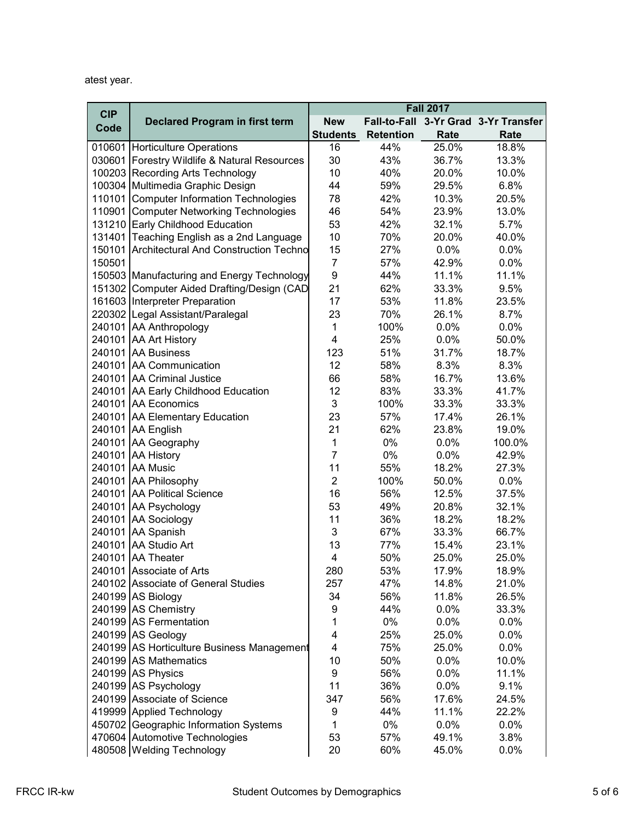atest year.

| <b>CIP</b> |                                              |                 |                  | <b>Fall 2017</b> |                                      |
|------------|----------------------------------------------|-----------------|------------------|------------------|--------------------------------------|
|            | <b>Declared Program in first term</b>        | <b>New</b>      |                  |                  | Fall-to-Fall 3-Yr Grad 3-Yr Transfer |
| Code       |                                              | <b>Students</b> | <b>Retention</b> | Rate             | Rate                                 |
|            | 010601 Horticulture Operations               | 16              | 44%              | 25.0%            | 18.8%                                |
|            | 030601 Forestry Wildlife & Natural Resources | 30              | 43%              | 36.7%            | 13.3%                                |
|            | 100203 Recording Arts Technology             | 10              | 40%              | 20.0%            | 10.0%                                |
|            | 100304 Multimedia Graphic Design             | 44              | 59%              | 29.5%            | 6.8%                                 |
|            | 110101 Computer Information Technologies     | 78              | 42%              | 10.3%            | 20.5%                                |
|            | 110901 Computer Networking Technologies      | 46              | 54%              | 23.9%            | 13.0%                                |
|            | 131210 Early Childhood Education             | 53              | 42%              | 32.1%            | 5.7%                                 |
|            | 131401 Teaching English as a 2nd Language    | 10              | 70%              | 20.0%            | 40.0%                                |
|            | 150101 Architectural And Construction Techno | 15              | 27%              | 0.0%             | 0.0%                                 |
| 150501     |                                              | $\overline{7}$  | 57%              | 42.9%            | 0.0%                                 |
|            | 150503 Manufacturing and Energy Technology   | 9               | 44%              | 11.1%            | 11.1%                                |
|            | 151302 Computer Aided Drafting/Design (CAD   | 21              | 62%              | 33.3%            | 9.5%                                 |
|            | 161603 Interpreter Preparation               | 17              | 53%              | 11.8%            | 23.5%                                |
|            | 220302 Legal Assistant/Paralegal             | 23              | 70%              | 26.1%            | 8.7%                                 |
|            | 240101 AA Anthropology                       | 1               | 100%             | 0.0%             | 0.0%                                 |
|            | 240101 AA Art History                        | 4               | 25%              | 0.0%             | 50.0%                                |
|            | 240101 AA Business                           | 123             | 51%              | 31.7%            | 18.7%                                |
|            | 240101 AA Communication                      | 12              | 58%              | 8.3%             | 8.3%                                 |
|            | 240101 AA Criminal Justice                   | 66              | 58%              | 16.7%            | 13.6%                                |
|            | 240101 AA Early Childhood Education          | 12              | 83%              | 33.3%            | 41.7%                                |
|            | 240101 AA Economics                          | 3               | 100%             | 33.3%            | 33.3%                                |
|            | 240101 AA Elementary Education               | 23              | 57%              | 17.4%            | 26.1%                                |
|            | 240101 AA English                            | 21              | 62%              | 23.8%            | 19.0%                                |
|            | 240101 AA Geography                          | 1               | 0%               | 0.0%             | 100.0%                               |
|            | 240101 AA History                            | $\overline{7}$  | 0%               | 0.0%             | 42.9%                                |
|            | 240101 AA Music                              | 11              | 55%              | 18.2%            | 27.3%                                |
|            | 240101 AA Philosophy                         | $\overline{2}$  | 100%             | 50.0%            | 0.0%                                 |
|            | 240101 AA Political Science                  | 16              | 56%              | 12.5%            | 37.5%                                |
|            | 240101 AA Psychology                         | 53              | 49%              | 20.8%            | 32.1%                                |
|            | 240101 AA Sociology                          | 11              | 36%              | 18.2%            | 18.2%                                |
|            | 240101 AA Spanish                            | 3               | 67%              | 33.3%            | 66.7%                                |
|            | 240101 AA Studio Art                         | 13              | 77%              | 15.4%            | 23.1%                                |
|            | 240101 AA Theater                            | 4               | 50%              | 25.0%            | 25.0%                                |
|            | 240101 Associate of Arts                     | 280             | 53%              | 17.9%            | 18.9%                                |
|            | 240102 Associate of General Studies          | 257             | 47%              | 14.8%            | 21.0%                                |
|            | 240199 AS Biology                            | 34              | 56%              | 11.8%            | 26.5%                                |
|            | 240199 AS Chemistry                          | 9               | 44%              | 0.0%             | 33.3%                                |
|            | 240199 AS Fermentation                       | 1               | 0%               | 0.0%             | 0.0%                                 |
|            | 240199 AS Geology                            | 4               | 25%              | 25.0%            | 0.0%                                 |
|            | 240199 AS Horticulture Business Management   | 4               | 75%              | 25.0%            | 0.0%                                 |
|            | 240199 AS Mathematics                        | 10              | 50%              | 0.0%             | 10.0%                                |
|            | 240199 AS Physics                            | 9               | 56%              | 0.0%             | 11.1%                                |
|            | 240199 AS Psychology                         | 11              | 36%              | 0.0%             | 9.1%                                 |
|            | 240199 Associate of Science                  | 347             | 56%              | 17.6%            | 24.5%                                |
|            | 419999 Applied Technology                    | 9               | 44%              | 11.1%            | 22.2%                                |
|            | 450702 Geographic Information Systems        | 1               | 0%               | 0.0%             | 0.0%                                 |
|            | 470604 Automotive Technologies               | 53              | 57%              | 49.1%            | 3.8%                                 |
|            | 480508 Welding Technology                    | 20              | 60%              | 45.0%            | 0.0%                                 |